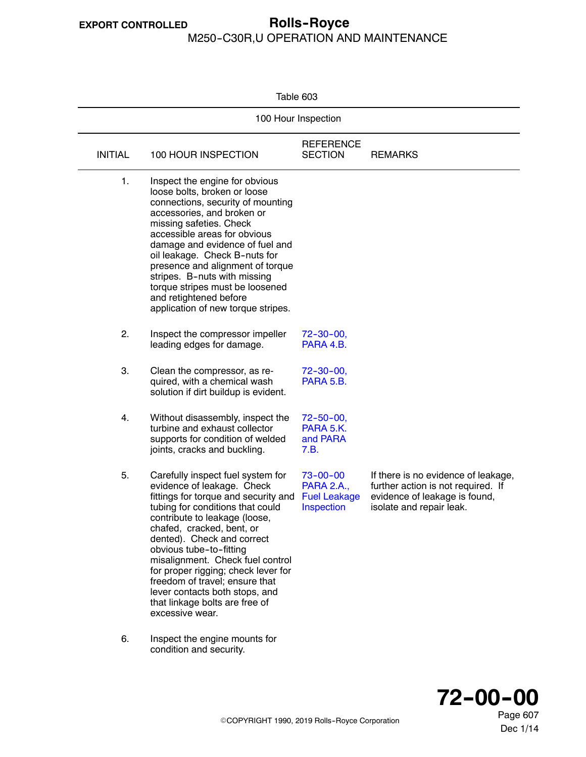$\overline{\phantom{0}}$ 

#### <span id="page-0-0"></span>**EXPORT CONTROLLED Rolls--Royce** M250-C30R,U OPERATION AND MAINTENANCE

Table 603

| 100 Hour Inspection |                                                                                                                                                                                                                                                                                                                                                                                                                                                                        |                                                                          |                                                                                                                                        |  |
|---------------------|------------------------------------------------------------------------------------------------------------------------------------------------------------------------------------------------------------------------------------------------------------------------------------------------------------------------------------------------------------------------------------------------------------------------------------------------------------------------|--------------------------------------------------------------------------|----------------------------------------------------------------------------------------------------------------------------------------|--|
| <b>INITIAL</b>      | 100 HOUR INSPECTION                                                                                                                                                                                                                                                                                                                                                                                                                                                    | <b>REFERENCE</b><br><b>SECTION</b>                                       | <b>REMARKS</b>                                                                                                                         |  |
| 1.                  | Inspect the engine for obvious<br>loose bolts, broken or loose<br>connections, security of mounting<br>accessories, and broken or<br>missing safeties. Check<br>accessible areas for obvious<br>damage and evidence of fuel and<br>oil leakage. Check B-nuts for<br>presence and alignment of torque<br>stripes. B-nuts with missing<br>torque stripes must be loosened<br>and retightened before<br>application of new torque stripes.                                |                                                                          |                                                                                                                                        |  |
| 2.                  | Inspect the compressor impeller<br>leading edges for damage.                                                                                                                                                                                                                                                                                                                                                                                                           | $72 - 30 - 00$<br>PARA 4.B.                                              |                                                                                                                                        |  |
| 3.                  | Clean the compressor, as re-<br>quired, with a chemical wash<br>solution if dirt buildup is evident.                                                                                                                                                                                                                                                                                                                                                                   | $72 - 30 - 00$ ,<br>PARA 5.B.                                            |                                                                                                                                        |  |
| 4.                  | Without disassembly, inspect the<br>turbine and exhaust collector<br>supports for condition of welded<br>joints, cracks and buckling.                                                                                                                                                                                                                                                                                                                                  | $72 - 50 - 00$ ,<br>PARA 5.K.<br>and PARA<br>7.B.                        |                                                                                                                                        |  |
| 5.                  | Carefully inspect fuel system for<br>evidence of leakage. Check<br>fittings for torque and security and<br>tubing for conditions that could<br>contribute to leakage (loose,<br>chafed, cracked, bent, or<br>dented). Check and correct<br>obvious tube-to-fitting<br>misalignment. Check fuel control<br>for proper rigging; check lever for<br>freedom of travel; ensure that<br>lever contacts both stops, and<br>that linkage bolts are free of<br>excessive wear. | $73 - 00 - 00$<br><b>PARA 2.A.,</b><br><b>Fuel Leakage</b><br>Inspection | If there is no evidence of leakage,<br>further action is not required. If<br>evidence of leakage is found,<br>isolate and repair leak. |  |
| 6.                  | Inspect the engine mounts for                                                                                                                                                                                                                                                                                                                                                                                                                                          |                                                                          |                                                                                                                                        |  |



condition and security.

Page 607 Dec 1/14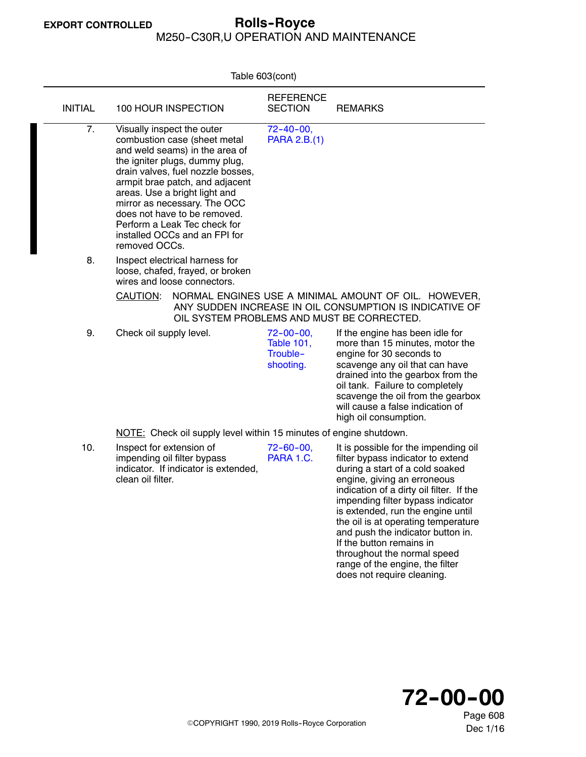# <span id="page-1-0"></span>**EXPORT CONTROLLED Rolls--Royce**

M250-C30R,U OPERATION AND MAINTENANCE

| Table 603(cont)  |                                               |                                                                                                                                                                                                                                                                                                                                            |                                                                |                                                                                                                                                                                                                                                                                                                                                                                                                                                                           |
|------------------|-----------------------------------------------|--------------------------------------------------------------------------------------------------------------------------------------------------------------------------------------------------------------------------------------------------------------------------------------------------------------------------------------------|----------------------------------------------------------------|---------------------------------------------------------------------------------------------------------------------------------------------------------------------------------------------------------------------------------------------------------------------------------------------------------------------------------------------------------------------------------------------------------------------------------------------------------------------------|
| <b>INITIAL</b>   |                                               | 100 HOUR INSPECTION                                                                                                                                                                                                                                                                                                                        | <b>REFERENCE</b><br><b>SECTION</b>                             | <b>REMARKS</b>                                                                                                                                                                                                                                                                                                                                                                                                                                                            |
| $\overline{7}$ . | Visually inspect the outer<br>removed OCCs.   | combustion case (sheet metal<br>and weld seams) in the area of<br>the igniter plugs, dummy plug,<br>drain valves, fuel nozzle bosses,<br>armpit brae patch, and adjacent<br>areas. Use a bright light and<br>mirror as necessary. The OCC<br>does not have to be removed.<br>Perform a Leak Tec check for<br>installed OCCs and an FPI for | $72 - 40 - 00,$<br>PARA 2.B.(1)                                |                                                                                                                                                                                                                                                                                                                                                                                                                                                                           |
| 8.               | <u>CAUTION:</u>                               | Inspect electrical harness for<br>loose, chafed, frayed, or broken<br>wires and loose connectors.<br>OIL SYSTEM PROBLEMS AND MUST BE CORRECTED.                                                                                                                                                                                            |                                                                | NORMAL ENGINES USE A MINIMAL AMOUNT OF OIL. HOWEVER,<br>ANY SUDDEN INCREASE IN OIL CONSUMPTION IS INDICATIVE OF                                                                                                                                                                                                                                                                                                                                                           |
| 9.               | Check oil supply level.                       |                                                                                                                                                                                                                                                                                                                                            | $72 - 00 - 00$ ,<br><b>Table 101,</b><br>Trouble-<br>shooting. | If the engine has been idle for<br>more than 15 minutes, motor the<br>engine for 30 seconds to<br>scavenge any oil that can have<br>drained into the gearbox from the<br>oil tank. Failure to completely<br>scavenge the oil from the gearbox<br>will cause a false indication of<br>high oil consumption.                                                                                                                                                                |
|                  |                                               | NOTE: Check oil supply level within 15 minutes of engine shutdown.                                                                                                                                                                                                                                                                         |                                                                |                                                                                                                                                                                                                                                                                                                                                                                                                                                                           |
| 10.              | Inspect for extension of<br>clean oil filter. | impending oil filter bypass<br>indicator. If indicator is extended,                                                                                                                                                                                                                                                                        | $72 - 60 - 00$ ,<br>PARA 1.C.                                  | It is possible for the impending oil<br>filter bypass indicator to extend<br>during a start of a cold soaked<br>engine, giving an erroneous<br>indication of a dirty oil filter. If the<br>impending filter bypass indicator<br>is extended, run the engine until<br>the oil is at operating temperature<br>and push the indicator button in.<br>If the button remains in<br>throughout the normal speed<br>range of the engine, the filter<br>does not require cleaning. |
|                  |                                               |                                                                                                                                                                                                                                                                                                                                            |                                                                |                                                                                                                                                                                                                                                                                                                                                                                                                                                                           |



Page 608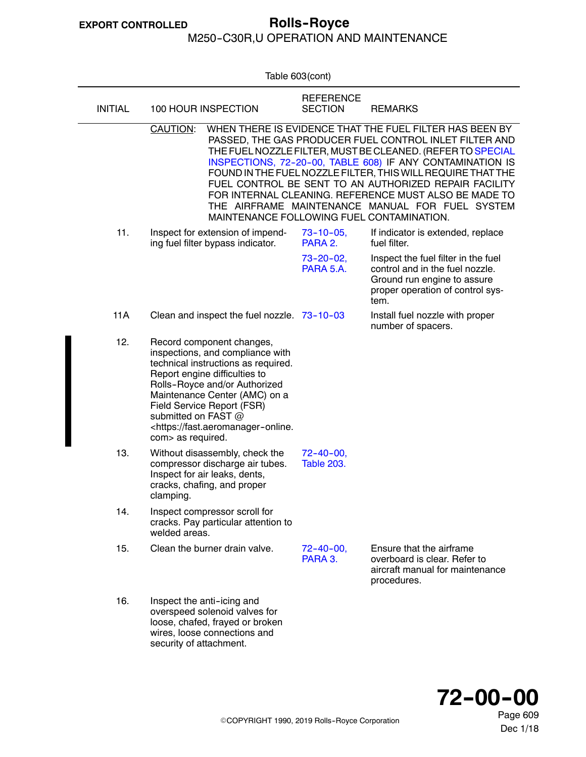## M250-C30R,U OPERATION AND MAINTENANCE

<span id="page-2-0"></span>

|                |                                                                                                                                                                                                                                                                                                                                      | Table 603(cont)                       |                                                                                                                                                                                                                                                                                                                                                                                                                                                                                  |
|----------------|--------------------------------------------------------------------------------------------------------------------------------------------------------------------------------------------------------------------------------------------------------------------------------------------------------------------------------------|---------------------------------------|----------------------------------------------------------------------------------------------------------------------------------------------------------------------------------------------------------------------------------------------------------------------------------------------------------------------------------------------------------------------------------------------------------------------------------------------------------------------------------|
| <b>INITIAL</b> | 100 HOUR INSPECTION                                                                                                                                                                                                                                                                                                                  | <b>REFERENCE</b><br><b>SECTION</b>    | <b>REMARKS</b>                                                                                                                                                                                                                                                                                                                                                                                                                                                                   |
|                | CAUTION:<br>MAINTENANCE FOLLOWING FUEL CONTAMINATION.                                                                                                                                                                                                                                                                                |                                       | WHEN THERE IS EVIDENCE THAT THE FUEL FILTER HAS BEEN BY<br>PASSED, THE GAS PRODUCER FUEL CONTROL INLET FILTER AND<br>THE FUEL NOZZLE FILTER, MUST BE CLEANED. (REFER TO SPECIAL<br>INSPECTIONS, 72-20-00, TABLE 608) IF ANY CONTAMINATION IS<br>FOUND IN THE FUEL NOZZLE FILTER, THIS WILL REQUIRE THAT THE<br>FUEL CONTROL BE SENT TO AN AUTHORIZED REPAIR FACILITY<br>FOR INTERNAL CLEANING. REFERENCE MUST ALSO BE MADE TO<br>THE AIRFRAME MAINTENANCE MANUAL FOR FUEL SYSTEM |
| 11.            | Inspect for extension of impend-<br>ing fuel filter bypass indicator.                                                                                                                                                                                                                                                                | $73 - 10 - 05$<br>PARA 2.             | If indicator is extended, replace<br>fuel filter.                                                                                                                                                                                                                                                                                                                                                                                                                                |
|                |                                                                                                                                                                                                                                                                                                                                      | $73 - 20 - 02$ ,<br>PARA 5.A.         | Inspect the fuel filter in the fuel<br>control and in the fuel nozzle.<br>Ground run engine to assure<br>proper operation of control sys-<br>tem.                                                                                                                                                                                                                                                                                                                                |
| 11A            | Clean and inspect the fuel nozzle. 73-10-03                                                                                                                                                                                                                                                                                          |                                       | Install fuel nozzle with proper<br>number of spacers.                                                                                                                                                                                                                                                                                                                                                                                                                            |
| 12.            | Record component changes,<br>inspections, and compliance with<br>technical instructions as required.<br>Report engine difficulties to<br>Rolls-Royce and/or Authorized<br>Maintenance Center (AMC) on a<br>Field Service Report (FSR)<br>submitted on FAST @<br><https: fast.aeromanager-online.<br="">com&gt; as required.</https:> |                                       |                                                                                                                                                                                                                                                                                                                                                                                                                                                                                  |
| 13.            | Without disassembly, check the<br>compressor discharge air tubes.<br>Inspect for air leaks, dents,<br>cracks, chafing, and proper<br>clamping.                                                                                                                                                                                       | $72 - 40 - 00$ ,<br><b>Table 203.</b> |                                                                                                                                                                                                                                                                                                                                                                                                                                                                                  |
| 14.            | Inspect compressor scroll for<br>cracks. Pay particular attention to<br>welded areas.                                                                                                                                                                                                                                                |                                       |                                                                                                                                                                                                                                                                                                                                                                                                                                                                                  |
| 15.            | Clean the burner drain valve.                                                                                                                                                                                                                                                                                                        | $72 - 40 - 00$<br>PARA 3.             | Ensure that the airframe<br>overboard is clear. Refer to<br>aircraft manual for maintenance<br>procedures.                                                                                                                                                                                                                                                                                                                                                                       |
| 16.            | Inspect the anti-icing and<br>overspeed solenoid valves for<br>loose, chafed, frayed or broken<br>wires, loose connections and<br>security of attachment.                                                                                                                                                                            |                                       |                                                                                                                                                                                                                                                                                                                                                                                                                                                                                  |



Page 609 Dec 1/18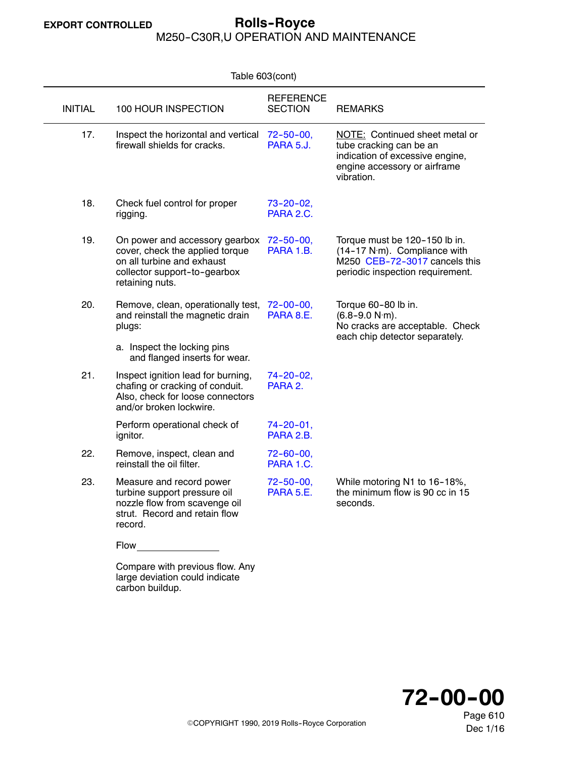#### **EXPORT CONTROLLED Rolls--Royce** M250-C30R,U OPERATION AND MAINTENANCE

| Table 603(cont) |                                                                                                                                                                       |                                      |                                                                                                                                            |  |
|-----------------|-----------------------------------------------------------------------------------------------------------------------------------------------------------------------|--------------------------------------|--------------------------------------------------------------------------------------------------------------------------------------------|--|
| <b>INITIAL</b>  | 100 HOUR INSPECTION                                                                                                                                                   | <b>REFERENCE</b><br><b>SECTION</b>   | <b>REMARKS</b>                                                                                                                             |  |
| 17.             | Inspect the horizontal and vertical<br>$72 - 50 - 00$<br>firewall shields for cracks.<br>PARA 5.J.                                                                    |                                      | NOTE: Continued sheet metal or<br>tube cracking can be an<br>indication of excessive engine,<br>engine accessory or airframe<br>vibration. |  |
| 18.             | Check fuel control for proper<br>rigging.                                                                                                                             | $73 - 20 - 02$ ,<br>PARA 2.C.        |                                                                                                                                            |  |
| 19.             | On power and accessory gearbox<br>cover, check the applied torque<br>on all turbine and exhaust<br>collector support-to-gearbox<br>retaining nuts.                    | $72 - 50 - 00$ ,<br>PARA 1.B.        | Torque must be 120-150 lb in.<br>(14-17 N·m). Compliance with<br>M250 CEB-72-3017 cancels this<br>periodic inspection requirement.         |  |
| 20.             | Remove, clean, operationally test,<br>and reinstall the magnetic drain<br>plugs:<br>a. Inspect the locking pins                                                       | $72 - 00 - 00$<br>PARA 8.E.          | Torque 60-80 lb in.<br>$(6.8 - 9.0 N·m)$ .<br>No cracks are acceptable. Check<br>each chip detector separately.                            |  |
| 21.             | and flanged inserts for wear.<br>Inspect ignition lead for burning,<br>chafing or cracking of conduit.<br>Also, check for loose connectors<br>and/or broken lockwire. | 74-20-02,<br>PARA 2.                 |                                                                                                                                            |  |
|                 | Perform operational check of<br>ignitor.                                                                                                                              | 74-20-01.<br>PARA 2.B.               |                                                                                                                                            |  |
| 22.             | Remove, inspect, clean and<br>reinstall the oil filter.                                                                                                               | $72 - 60 - 00$ ,<br>PARA 1.C.        |                                                                                                                                            |  |
| 23.             | Measure and record power<br>turbine support pressure oil<br>nozzle flow from scavenge oil<br>strut. Record and retain flow<br>record.                                 | $72 - 50 - 00$ ,<br><b>PARA 5.E.</b> | While motoring N1 to 16-18%,<br>the minimum flow is 90 cc in 15<br>seconds.                                                                |  |
|                 | <b>Flow</b>                                                                                                                                                           |                                      |                                                                                                                                            |  |

Compare with previous flow. Any large deviation could indicate carbon buildup.

**72--00--00**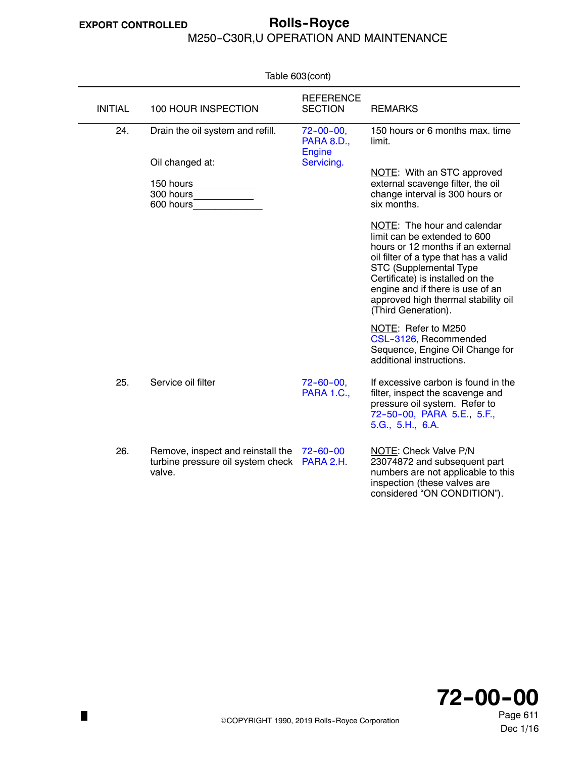$\blacksquare$ 

## <span id="page-4-0"></span>**EXPORT CONTROLLED Rolls--Royce** M250-C30R,U OPERATION AND MAINTENANCE

| Table 603(cont) |                                                                                  |                                                       |                                                                                                                                                                                                                                                                                                           |  |
|-----------------|----------------------------------------------------------------------------------|-------------------------------------------------------|-----------------------------------------------------------------------------------------------------------------------------------------------------------------------------------------------------------------------------------------------------------------------------------------------------------|--|
| <b>INITIAL</b>  | 100 HOUR INSPECTION                                                              | <b>REFERENCE</b><br><b>SECTION</b>                    | <b>REMARKS</b>                                                                                                                                                                                                                                                                                            |  |
| 24.             | Drain the oil system and refill.                                                 | $72 - 00 - 00,$<br><b>PARA 8.D.,</b><br><b>Engine</b> | 150 hours or 6 months max, time<br>limit.                                                                                                                                                                                                                                                                 |  |
|                 | Oil changed at:<br>150 hours<br>300 hours<br>600 hours                           | Servicing.                                            | NOTE: With an STC approved<br>external scavenge filter, the oil<br>change interval is 300 hours or<br>six months.                                                                                                                                                                                         |  |
|                 |                                                                                  |                                                       | NOTE: The hour and calendar<br>limit can be extended to 600<br>hours or 12 months if an external<br>oil filter of a type that has a valid<br>STC (Supplemental Type<br>Certificate) is installed on the<br>engine and if there is use of an<br>approved high thermal stability oil<br>(Third Generation). |  |
|                 |                                                                                  |                                                       | NOTE: Refer to M250<br>CSL-3126, Recommended<br>Sequence, Engine Oil Change for<br>additional instructions.                                                                                                                                                                                               |  |
| 25.             | Service oil filter                                                               | $72 - 60 - 00$<br><b>PARA 1.C.,</b>                   | If excessive carbon is found in the<br>filter, inspect the scavenge and<br>pressure oil system. Refer to<br>72-50-00, PARA 5.E., 5.F.,<br>5.G., 5.H., 6.A.                                                                                                                                                |  |
| 26.             | Remove, inspect and reinstall the<br>turbine pressure oil system check<br>valve. | $72 - 60 - 00$<br>PARA 2.H.                           | NOTE: Check Valve P/N<br>23074872 and subsequent part<br>numbers are not applicable to this<br>inspection (these valves are<br>considered "ON CONDITION").                                                                                                                                                |  |



ECOPYRIGHT 1990, 2019 Rolls--Royce Corporation

Page 611 Dec 1/16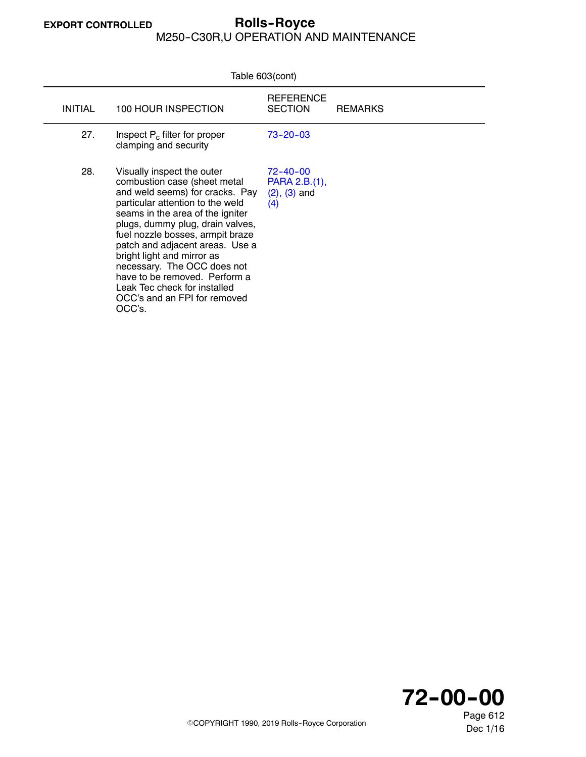## **EXPORT CONTROLLED Rolls--Royce** M250-C30R,U OPERATION AND MAINTENANCE

| Table 603(cont) |                                                                                                                                                                                                                                                                                                                                                                                                                                                          |                                                             |                |  |
|-----------------|----------------------------------------------------------------------------------------------------------------------------------------------------------------------------------------------------------------------------------------------------------------------------------------------------------------------------------------------------------------------------------------------------------------------------------------------------------|-------------------------------------------------------------|----------------|--|
| <b>INITIAL</b>  | 100 HOUR INSPECTION                                                                                                                                                                                                                                                                                                                                                                                                                                      | <b>REFERENCE</b><br><b>SECTION</b>                          | <b>REMARKS</b> |  |
| 27.             | Inspect $P_c$ filter for proper<br>clamping and security                                                                                                                                                                                                                                                                                                                                                                                                 | $73 - 20 - 03$                                              |                |  |
| 28.             | Visually inspect the outer<br>combustion case (sheet metal<br>and weld seems) for cracks. Pay<br>particular attention to the weld<br>seams in the area of the igniter<br>plugs, dummy plug, drain valves,<br>fuel nozzle bosses, armpit braze<br>patch and adjacent areas. Use a<br>bright light and mirror as<br>necessary. The OCC does not<br>have to be removed. Perform a<br>Leak Tec check for installed<br>OCC's and an FPI for removed<br>OCC's. | $72 - 40 - 00$<br>PARA 2.B.(1),<br>$(2)$ , $(3)$ and<br>(4) |                |  |

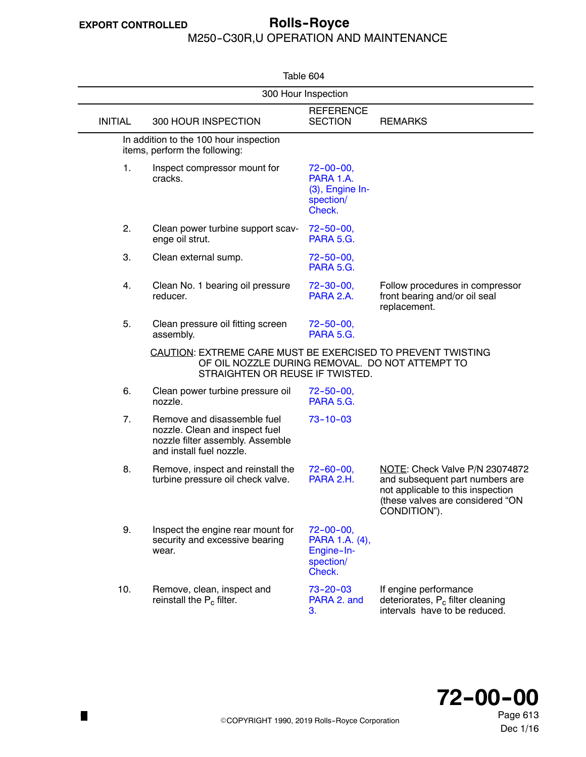# <span id="page-6-0"></span>**EXPORT CONTROLLED Rolls--Royce**

#### M250-C30R,U OPERATION AND MAINTENANCE

| Table 604      |                                                                                                                                                   |                                                                         |                                                                                                                                                            |  |
|----------------|---------------------------------------------------------------------------------------------------------------------------------------------------|-------------------------------------------------------------------------|------------------------------------------------------------------------------------------------------------------------------------------------------------|--|
|                |                                                                                                                                                   | 300 Hour Inspection                                                     |                                                                                                                                                            |  |
| <b>INITIAL</b> | 300 HOUR INSPECTION                                                                                                                               | <b>REFERENCE</b><br><b>SECTION</b>                                      | <b>REMARKS</b>                                                                                                                                             |  |
|                | In addition to the 100 hour inspection<br>items, perform the following:                                                                           |                                                                         |                                                                                                                                                            |  |
| 1.             | Inspect compressor mount for<br>cracks.                                                                                                           | $72 - 00 - 00$ ,<br>PARA 1.A.<br>(3), Engine In-<br>spection/<br>Check. |                                                                                                                                                            |  |
| 2.             | Clean power turbine support scav-<br>enge oil strut.                                                                                              | $72 - 50 - 00$ ,<br><b>PARA 5.G.</b>                                    |                                                                                                                                                            |  |
| 3.             | Clean external sump.                                                                                                                              | $72 - 50 - 00$<br>PARA 5.G.                                             |                                                                                                                                                            |  |
| 4.             | Clean No. 1 bearing oil pressure<br>reducer.                                                                                                      | $72 - 30 - 00$ ,<br>PARA 2.A.                                           | Follow procedures in compressor<br>front bearing and/or oil seal<br>replacement.                                                                           |  |
| 5.             | Clean pressure oil fitting screen<br>assembly.                                                                                                    | $72 - 50 - 00$<br>PARA 5.G.                                             |                                                                                                                                                            |  |
|                | CAUTION: EXTREME CARE MUST BE EXERCISED TO PREVENT TWISTING<br>OF OIL NOZZLE DURING REMOVAL. DO NOT ATTEMPT TO<br>STRAIGHTEN OR REUSE IF TWISTED. |                                                                         |                                                                                                                                                            |  |
| 6.             | Clean power turbine pressure oil<br>nozzle.                                                                                                       | $72 - 50 - 00$<br>PARA 5.G.                                             |                                                                                                                                                            |  |
| 7.             | Remove and disassemble fuel<br>nozzle. Clean and inspect fuel<br>nozzle filter assembly. Assemble<br>and install fuel nozzle.                     | $73 - 10 - 03$                                                          |                                                                                                                                                            |  |
| 8.             | Remove, inspect and reinstall the<br>turbine pressure oil check valve.                                                                            | $72 - 60 - 00$ ,<br>PARA 2.H.                                           | NOTE: Check Valve P/N 23074872<br>and subsequent part numbers are<br>not applicable to this inspection<br>(these valves are considered "ON<br>CONDITION"). |  |
| 9.             | Inspect the engine rear mount for<br>security and excessive bearing<br>wear.                                                                      | $72 - 00 - 00$ ,<br>PARA 1.A. (4),<br>Engine-In-<br>spection/<br>Check. |                                                                                                                                                            |  |
| 10.            | Remove, clean, inspect and<br>reinstall the $P_c$ filter.                                                                                         | $73 - 20 - 03$<br>PARA 2. and<br>3.                                     | If engine performance<br>deteriorates, P <sub>c</sub> filter cleaning<br>intervals have to be reduced.                                                     |  |



Page 613 Dec 1/16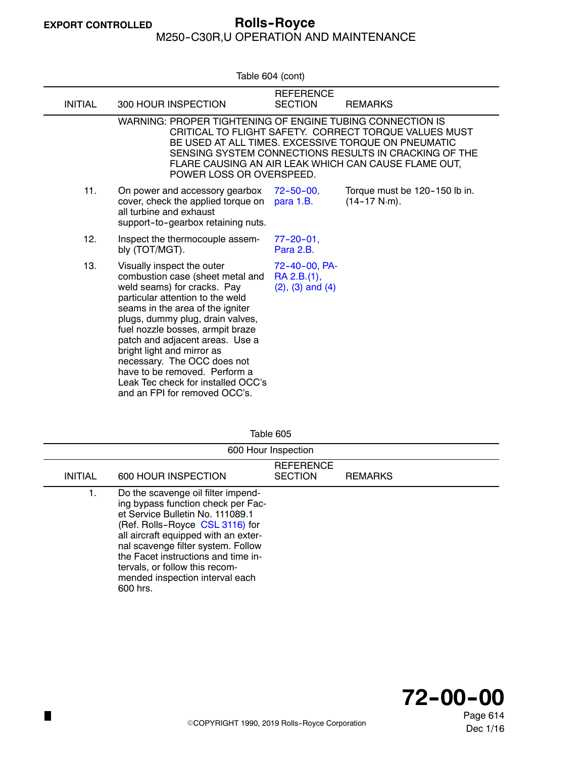M250--C30R,U OPERATION AND MAINTENANCE

<span id="page-7-0"></span>

| Table 604 (cont) |                                                                                                                                                                                                                                                                                                                                                                                                                                                       |                                                         |                                                                         |  |  |
|------------------|-------------------------------------------------------------------------------------------------------------------------------------------------------------------------------------------------------------------------------------------------------------------------------------------------------------------------------------------------------------------------------------------------------------------------------------------------------|---------------------------------------------------------|-------------------------------------------------------------------------|--|--|
| <b>INITIAL</b>   | 300 HOUR INSPECTION                                                                                                                                                                                                                                                                                                                                                                                                                                   | <b>REFERENCE</b><br><b>SECTION</b>                      | <b>REMARKS</b>                                                          |  |  |
|                  | WARNING: PROPER TIGHTENING OF ENGINE TUBING CONNECTION IS<br>CRITICAL TO FLIGHT SAFETY. CORRECT TORQUE VALUES MUST<br>BE USED AT ALL TIMES. EXCESSIVE TORQUE ON PNEUMATIC<br>SENSING SYSTEM CONNECTIONS RESULTS IN CRACKING OF THE<br>FLARE CAUSING AN AIR LEAK WHICH CAN CAUSE FLAME OUT,<br>POWER LOSS OR OVERSPEED.                                                                                                                                |                                                         |                                                                         |  |  |
| 11.              | On power and accessory gearbox<br>cover, check the applied torque on<br>all turbine and exhaust<br>support-to-gearbox retaining nuts.                                                                                                                                                                                                                                                                                                                 | $72 - 50 - 00$<br>para 1.B.                             | Torque must be 120-150 lb in.<br>$(14 - 17 \text{ N} \cdot \text{m})$ . |  |  |
| 12.              | Inspect the thermocouple assem-<br>bly (TOT/MGT).                                                                                                                                                                                                                                                                                                                                                                                                     | $77 - 20 - 01$ ,<br>Para 2.B.                           |                                                                         |  |  |
| 13.              | Visually inspect the outer<br>combustion case (sheet metal and<br>weld seams) for cracks. Pay<br>particular attention to the weld<br>seams in the area of the igniter<br>plugs, dummy plug, drain valves,<br>fuel nozzle bosses, armpit braze<br>patch and adjacent areas. Use a<br>bright light and mirror as<br>necessary. The OCC does not<br>have to be removed. Perform a<br>Leak Tec check for installed OCC's<br>and an FPI for removed OCC's. | 72-40-00, PA-<br>RA 2.B.(1),<br>$(2)$ , $(3)$ and $(4)$ |                                                                         |  |  |

| Table 605      |                                                                                                                                                                                                                                                                                                                                                       |                                    |                |  |  |
|----------------|-------------------------------------------------------------------------------------------------------------------------------------------------------------------------------------------------------------------------------------------------------------------------------------------------------------------------------------------------------|------------------------------------|----------------|--|--|
|                | 600 Hour Inspection                                                                                                                                                                                                                                                                                                                                   |                                    |                |  |  |
| <b>INITIAL</b> | 600 HOUR INSPECTION                                                                                                                                                                                                                                                                                                                                   | <b>REFERENCE</b><br><b>SECTION</b> | <b>REMARKS</b> |  |  |
| 1.             | Do the scavenge oil filter impend-<br>ing bypass function check per Fac-<br>et Service Bulletin No. 111089.1<br>(Ref. Rolls-Royce CSL 3116) for<br>all aircraft equipped with an exter-<br>nal scavenge filter system. Follow<br>the Facet instructions and time in-<br>tervals, or follow this recom-<br>mended inspection interval each<br>600 hrs. |                                    |                |  |  |



Page 614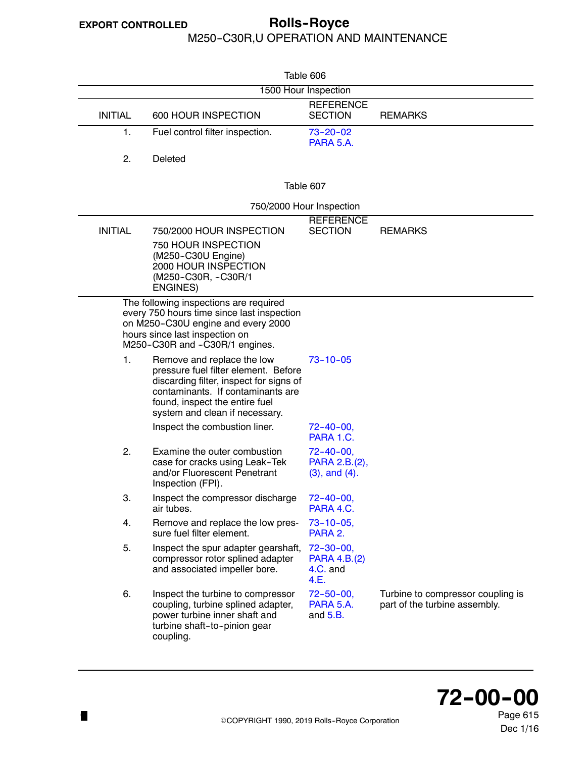### <span id="page-8-0"></span>**EXPORT CONTROLLED Rolls--Royce** M250-C30R,U OPERATION AND MAINTENANCE

| Table 606      |                                                                                                                                                                                                                        |                                                          |                                                                    |  |  |
|----------------|------------------------------------------------------------------------------------------------------------------------------------------------------------------------------------------------------------------------|----------------------------------------------------------|--------------------------------------------------------------------|--|--|
|                | 1500 Hour Inspection                                                                                                                                                                                                   |                                                          |                                                                    |  |  |
| <b>INITIAL</b> | 600 HOUR INSPECTION                                                                                                                                                                                                    | <b>REFERENCE</b><br><b>SECTION</b>                       | <b>REMARKS</b>                                                     |  |  |
| 1.             | Fuel control filter inspection.                                                                                                                                                                                        | $73 - 20 - 02$<br>PARA 5.A.                              |                                                                    |  |  |
| 2.             | Deleted                                                                                                                                                                                                                |                                                          |                                                                    |  |  |
|                |                                                                                                                                                                                                                        | Table 607                                                |                                                                    |  |  |
|                |                                                                                                                                                                                                                        | 750/2000 Hour Inspection                                 |                                                                    |  |  |
| <b>INITIAL</b> | 750/2000 HOUR INSPECTION<br>750 HOUR INSPECTION                                                                                                                                                                        | <b>REFERENCE</b><br><b>SECTION</b>                       | <b>REMARKS</b>                                                     |  |  |
|                | (M250-C30U Engine)<br>2000 HOUR INSPECTION<br>(M250-C30R, -C30R/1<br><b>ENGINES)</b>                                                                                                                                   |                                                          |                                                                    |  |  |
|                | The following inspections are required<br>every 750 hours time since last inspection<br>on M250-C30U engine and every 2000<br>hours since last inspection on<br>M250-C30R and -C30R/1 engines.                         |                                                          |                                                                    |  |  |
| 1.             | Remove and replace the low<br>pressure fuel filter element. Before<br>discarding filter, inspect for signs of<br>contaminants. If contaminants are<br>found, inspect the entire fuel<br>system and clean if necessary. | $73 - 10 - 05$                                           |                                                                    |  |  |
|                | Inspect the combustion liner.                                                                                                                                                                                          | $72 - 40 - 00$ ,<br>PARA 1.C.                            |                                                                    |  |  |
| 2.             | Examine the outer combustion<br>case for cracks using Leak-Tek<br>and/or Fluorescent Penetrant<br>Inspection (FPI).                                                                                                    | $72 - 40 - 00$ ,<br>PARA 2.B.(2),<br>$(3)$ , and $(4)$ . |                                                                    |  |  |
| З.             | Inspect the compressor discharge<br>air tubes.                                                                                                                                                                         | $72 - 40 - 00$<br>PARA 4.C.                              |                                                                    |  |  |
| 4.             | Remove and replace the low pres-<br>sure fuel filter element.                                                                                                                                                          | $73 - 10 - 05$ ,<br>PARA 2.                              |                                                                    |  |  |
| 5.             | Inspect the spur adapter gearshaft,<br>compressor rotor splined adapter<br>and associated impeller bore.                                                                                                               | $72 - 30 - 00$<br>PARA 4.B.(2)<br>4.C. and<br>4.E.       |                                                                    |  |  |
| 6.             | Inspect the turbine to compressor<br>coupling, turbine splined adapter,<br>power turbine inner shaft and<br>turbine shaft-to-pinion gear<br>coupling.                                                                  | $72 - 50 - 00$<br>PARA 5.A.<br>and $5.B.$                | Turbine to compressor coupling is<br>part of the turbine assembly. |  |  |